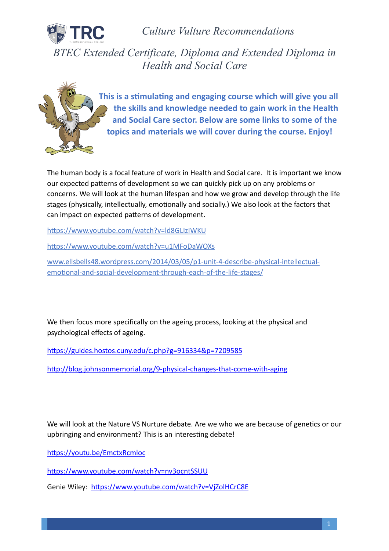

*Culture Vulture Recommendations* 

*BTEC Extended Certificate, Diploma and Extended Diploma in Health and Social Care* 



This is a stimulating and engaging course which will give you all **the skills and knowledge needed to gain work in the Health and Social Care sector. Below are some links to some of the topics and materials we will cover during the course. Enjoy!** 

The human body is a focal feature of work in Health and Social care. It is important we know our expected patterns of development so we can quickly pick up on any problems or concerns. We will look at the human lifespan and how we grow and develop through the life stages (physically, intellectually, emotionally and socially.) We also look at the factors that can impact on expected patterns of development.

https://www.youtube.com/watch?v=ld8GLIzIWKU

https://www.youtube.com/watch?v=u1MFoDaWOXs

[www.ellsbells48.wordpress.com/2014/03/05/p1-unit-4-describe-physical-intellectual](http://www.ellsbells48.wordpress.com/2014/03/05/p1-unit-4-describe-physical-intellectual-emotional-and-social-development-through-each-of-the-life-stages/)emotional-and-social-development-through-each-of-the-life-stages/

We then focus more specifically on the ageing process, looking at the physical and psychological effects of ageing.

https://guides.hostos.cuny.edu/c.php?g=916334&p=7209585

http://blog.johnsonmemorial.org/9-physical-changes-that-come-with-aging

We will look at the Nature VS Nurture debate. Are we who we are because of genetics or our upbringing and environment? This is an interesting debate!

https://youtu.be/EmctxRcmloc

https://www.youtube.com/watch?v=nv3ocntSSUU

Genie Wiley: https://www.youtube.com/watch?v=VjZolHCrC8E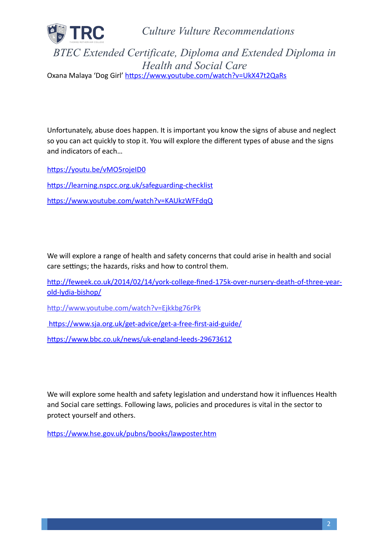

*Culture Vulture Recommendations* 

*BTEC Extended Certificate, Diploma and Extended Diploma in Health and Social Care*  Oxana Malaya 'Dog Girl' https://www.youtube.com/watch?v=UkX47t2QaRs

Unfortunately, abuse does happen. It is important you know the signs of abuse and neglect so you can act quickly to stop it. You will explore the different types of abuse and the signs and indicators of each…

https://youtu.be/vMO5rojeID0

https://learning.nspcc.org.uk/safeguarding-checklist https://www.youtube.com/watch?v=KAUkzWFFdqQ

We will explore a range of health and safety concerns that could arise in health and social care settings; the hazards, risks and how to control them.

http://feweek.co.uk/2014/02/14/york-college-fined-175k-over-nursery-death-of-three-year[old-lydia-bishop/](http://feweek.co.uk/2014/02/14/york-college-fined-175k-over-nursery-death-of-three-year-old-lydia-bishop/)

http://www.youtube.com/watch?v=Ejkkbg76rPk

https://www.sja.org.uk/get-advice/get-a-free-first-aid-guide/

https://www.bbc.co.uk/news/uk-england-leeds-29673612

We will explore some health and safety legislation and understand how it influences Health and Social care settings. Following laws, policies and procedures is vital in the sector to protect yourself and others.

https://www.hse.gov.uk/pubns/books/lawposter.htm